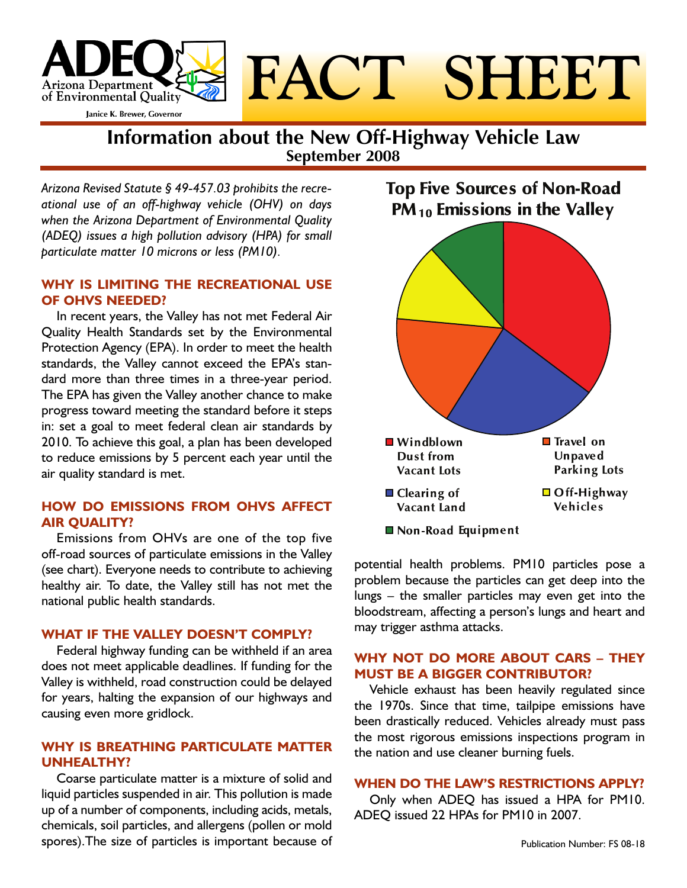

**Information about the New Off-Highway Vehicle Law September 2008**

*Arizona Revised Statute § 49-457.03 prohibits the recreational use of an off-highway vehicle (OHV) on days when the Arizona Department of Environmental Quality (ADEQ) issues a high pollution advisory (HPA) for small particulate matter 10 microns or less (PM10).* 

# **WHY IS LIMITING THE RECREATIONAL USE OF OHVS NEEDED?**

In recent years, the Valley has not met Federal Air Quality Health Standards set by the Environmental Protection Agency (EPA). In order to meet the health standards, the Valley cannot exceed the EPA's standard more than three times in a three-year period. The EPA has given the Valley another chance to make progress toward meeting the standard before it steps in: set a goal to meet federal clean air standards by 2010. To achieve this goal, a plan has been developed to reduce emissions by 5 percent each year until the air quality standard is met.

# **HOW DO EMISSIONS FROM OHVS AFFECT AIR QUALITY?**

Emissions from OHVs are one of the top five off-road sources of particulate emissions in the Valley (see chart). Everyone needs to contribute to achieving healthy air. To date, the Valley still has not met the national public health standards.

## **WHAT IF THE VALLEY DOESN'T COMPLY?**

Federal highway funding can be withheld if an area does not meet applicable deadlines. If funding for the Valley is withheld, road construction could be delayed for years, halting the expansion of our highways and causing even more gridlock.

# **WHY IS BREATHING PARTICULATE MATTER UNHEALTHY?**

Coarse particulate matter is a mixture of solid and liquid particles suspended in air. This pollution is made up of a number of components, including acids, metals, chemicals, soil particles, and allergens (pollen or mold spores).The size of particles is important because of

**Top Five Sources of Non-Road**  $PM_{10}$  Emissions in the Valley



potential health problems. PM10 particles pose a problem because the particles can get deep into the lungs – the smaller particles may even get into the bloodstream, affecting a person's lungs and heart and may trigger asthma attacks.

# **WHY NOT DO MORE ABOUT CARS – THEY MUST BE A BIGGER CONTRIBUTOR?**

Vehicle exhaust has been heavily regulated since the 1970s. Since that time, tailpipe emissions have been drastically reduced. Vehicles already must pass the most rigorous emissions inspections program in the nation and use cleaner burning fuels.

# **WHEN DO THE LAW'S RESTRICTIONS APPLY?**

Only when ADEQ has issued a HPA for PM10. ADEQ issued 22 HPAs for PM10 in 2007.